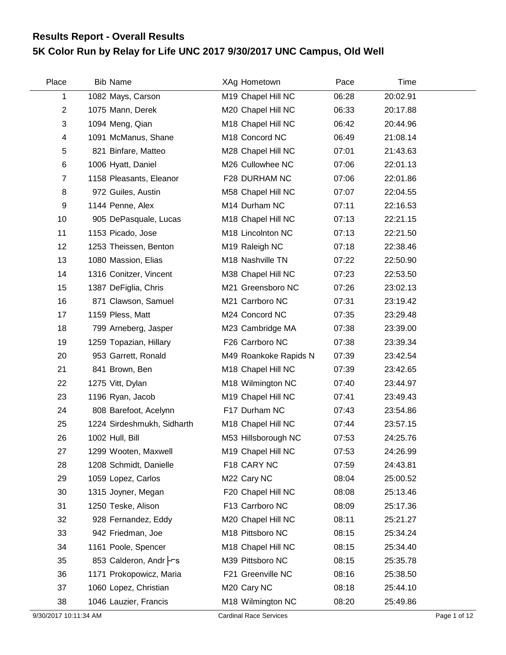## **5K Color Run by Relay for Life UNC 2017 9/30/2017 UNC Campus, Old Well Results Report - Overall Results**

| Place          | <b>Bib Name</b>            | XAg Hometown               | Pace  | Time     |  |
|----------------|----------------------------|----------------------------|-------|----------|--|
| 1              | 1082 Mays, Carson          | M19 Chapel Hill NC         | 06:28 | 20:02.91 |  |
| $\overline{2}$ | 1075 Mann, Derek           | M20 Chapel Hill NC         | 06:33 | 20:17.88 |  |
| 3              | 1094 Meng, Qian            | M18 Chapel Hill NC         | 06:42 | 20:44.96 |  |
| 4              | 1091 McManus, Shane        | M18 Concord NC             | 06:49 | 21:08.14 |  |
| 5              | 821 Binfare, Matteo        | M28 Chapel Hill NC         | 07:01 | 21:43.63 |  |
| 6              | 1006 Hyatt, Daniel         | M26 Cullowhee NC           | 07:06 | 22:01.13 |  |
| 7              | 1158 Pleasants, Eleanor    | F28 DURHAM NC              | 07:06 | 22:01.86 |  |
| 8              | 972 Guiles, Austin         | M58 Chapel Hill NC         | 07:07 | 22:04.55 |  |
| 9              | 1144 Penne, Alex           | M14 Durham NC              | 07:11 | 22:16.53 |  |
| 10             | 905 DePasquale, Lucas      | M18 Chapel Hill NC         | 07:13 | 22:21.15 |  |
| 11             | 1153 Picado, Jose          | M18 Lincolnton NC          | 07:13 | 22:21.50 |  |
| 12             | 1253 Theissen, Benton      | M <sub>19</sub> Raleigh NC | 07:18 | 22:38.46 |  |
| 13             | 1080 Massion, Elias        | M18 Nashville TN           | 07:22 | 22:50.90 |  |
| 14             | 1316 Conitzer, Vincent     | M38 Chapel Hill NC         | 07:23 | 22:53.50 |  |
| 15             | 1387 DeFiglia, Chris       | M21 Greensboro NC          | 07:26 | 23:02.13 |  |
| 16             | 871 Clawson, Samuel        | M21 Carrboro NC            | 07:31 | 23:19.42 |  |
| 17             | 1159 Pless, Matt           | M24 Concord NC             | 07:35 | 23:29.48 |  |
| 18             | 799 Arneberg, Jasper       | M23 Cambridge MA           | 07:38 | 23:39.00 |  |
| 19             | 1259 Topazian, Hillary     | F26 Carrboro NC            | 07:38 | 23:39.34 |  |
| 20             | 953 Garrett, Ronald        | M49 Roankoke Rapids N      | 07:39 | 23:42.54 |  |
| 21             | 841 Brown, Ben             | M18 Chapel Hill NC         | 07:39 | 23:42.65 |  |
| 22             | 1275 Vitt, Dylan           | M18 Wilmington NC          | 07:40 | 23:44.97 |  |
| 23             | 1196 Ryan, Jacob           | M19 Chapel Hill NC         | 07:41 | 23:49.43 |  |
| 24             | 808 Barefoot, Acelynn      | F17 Durham NC              | 07:43 | 23:54.86 |  |
| 25             | 1224 Sirdeshmukh, Sidharth | M18 Chapel Hill NC         | 07:44 | 23:57.15 |  |
| 26             | 1002 Hull, Bill            | M53 Hillsborough NC        | 07:53 | 24:25.76 |  |
| 27             | 1299 Wooten, Maxwell       | M19 Chapel Hill NC         | 07:53 | 24:26.99 |  |
| 28             | 1208 Schmidt, Danielle     | F18 CARY NC                | 07:59 | 24:43.81 |  |
| 29             | 1059 Lopez, Carlos         | M22 Cary NC                | 08:04 | 25:00.52 |  |
| 30             | 1315 Joyner, Megan         | F20 Chapel Hill NC         | 08:08 | 25:13.46 |  |
| 31             | 1250 Teske, Alison         | F13 Carrboro NC            | 08:09 | 25:17.36 |  |
| 32             | 928 Fernandez, Eddy        | M20 Chapel Hill NC         | 08:11 | 25:21.27 |  |
| 33             | 942 Friedman, Joe          | M18 Pittsboro NC           | 08:15 | 25:34.24 |  |
| 34             | 1161 Poole, Spencer        | M18 Chapel Hill NC         | 08:15 | 25:34.40 |  |
| 35             | 853 Calderon, Andr Frs     | M39 Pittsboro NC           | 08:15 | 25:35.78 |  |
| 36             | 1171 Prokopowicz, Maria    | F21 Greenville NC          | 08:16 | 25:38.50 |  |
| 37             | 1060 Lopez, Christian      | M20 Cary NC                | 08:18 | 25:44.10 |  |
| 38             | 1046 Lauzier, Francis      | M18 Wilmington NC          | 08:20 | 25:49.86 |  |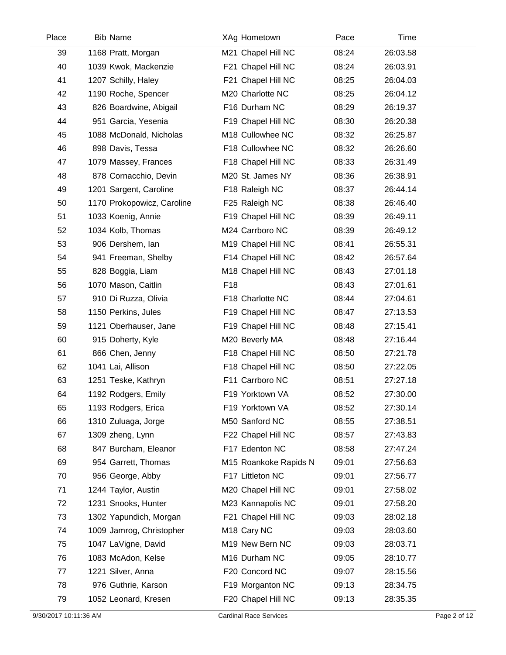| Place | <b>Bib Name</b>            | XAg Hometown            |                       | Pace  | Time     |
|-------|----------------------------|-------------------------|-----------------------|-------|----------|
| 39    | 1168 Pratt, Morgan         |                         | M21 Chapel Hill NC    | 08:24 | 26:03.58 |
| 40    | 1039 Kwok, Mackenzie       |                         | F21 Chapel Hill NC    | 08:24 | 26:03.91 |
| 41    | 1207 Schilly, Haley        |                         | F21 Chapel Hill NC    | 08:25 | 26:04.03 |
| 42    | 1190 Roche, Spencer        |                         | M20 Charlotte NC      | 08:25 | 26:04.12 |
| 43    | 826 Boardwine, Abigail     |                         | F16 Durham NC         | 08:29 | 26:19.37 |
| 44    | 951 Garcia, Yesenia        |                         | F19 Chapel Hill NC    | 08:30 | 26:20.38 |
| 45    | 1088 McDonald, Nicholas    |                         | M18 Cullowhee NC      | 08:32 | 26:25.87 |
| 46    | 898 Davis, Tessa           |                         | F18 Cullowhee NC      | 08:32 | 26:26.60 |
| 47    | 1079 Massey, Frances       |                         | F18 Chapel Hill NC    | 08:33 | 26:31.49 |
| 48    | 878 Cornacchio, Devin      |                         | M20 St. James NY      | 08:36 | 26:38.91 |
| 49    | 1201 Sargent, Caroline     | F18 Raleigh NC          |                       | 08:37 | 26:44.14 |
| 50    | 1170 Prokopowicz, Caroline | F25 Raleigh NC          |                       | 08:38 | 26:46.40 |
| 51    | 1033 Koenig, Annie         |                         | F19 Chapel Hill NC    | 08:39 | 26:49.11 |
| 52    | 1034 Kolb, Thomas          |                         | M24 Carrboro NC       | 08:39 | 26:49.12 |
| 53    | 906 Dershem, lan           |                         | M19 Chapel Hill NC    | 08:41 | 26:55.31 |
| 54    | 941 Freeman, Shelby        |                         | F14 Chapel Hill NC    | 08:42 | 26:57.64 |
| 55    | 828 Boggia, Liam           |                         | M18 Chapel Hill NC    | 08:43 | 27:01.18 |
| 56    | 1070 Mason, Caitlin        | F <sub>18</sub>         |                       | 08:43 | 27:01.61 |
| 57    | 910 Di Ruzza, Olivia       |                         | F18 Charlotte NC      | 08:44 | 27:04.61 |
| 58    | 1150 Perkins, Jules        |                         | F19 Chapel Hill NC    | 08:47 | 27:13.53 |
| 59    | 1121 Oberhauser, Jane      |                         | F19 Chapel Hill NC    | 08:48 | 27:15.41 |
| 60    | 915 Doherty, Kyle          | M20 Beverly MA          |                       | 08:48 | 27:16.44 |
| 61    | 866 Chen, Jenny            |                         | F18 Chapel Hill NC    | 08:50 | 27:21.78 |
| 62    | 1041 Lai, Allison          |                         | F18 Chapel Hill NC    | 08:50 | 27:22.05 |
| 63    | 1251 Teske, Kathryn        |                         | F11 Carrboro NC       | 08:51 | 27:27.18 |
| 64    | 1192 Rodgers, Emily        |                         | F19 Yorktown VA       | 08:52 | 27:30.00 |
| 65    | 1193 Rodgers, Erica        |                         | F19 Yorktown VA       | 08:52 | 27:30.14 |
| 66    | 1310 Zuluaga, Jorge        | M50 Sanford NC          |                       | 08:55 | 27:38.51 |
| 67    | 1309 zheng, Lynn           |                         | F22 Chapel Hill NC    | 08:57 | 27:43.83 |
| 68    | 847 Burcham, Eleanor       |                         | F17 Edenton NC        | 08:58 | 27:47.24 |
| 69    | 954 Garrett, Thomas        |                         | M15 Roankoke Rapids N | 09:01 | 27:56.63 |
| 70    | 956 George, Abby           | F17 Littleton NC        |                       | 09:01 | 27:56.77 |
| 71    | 1244 Taylor, Austin        |                         | M20 Chapel Hill NC    | 09:01 | 27:58.02 |
| 72    | 1231 Snooks, Hunter        |                         | M23 Kannapolis NC     | 09:01 | 27:58.20 |
| 73    | 1302 Yapundich, Morgan     |                         | F21 Chapel Hill NC    | 09:03 | 28:02.18 |
| 74    | 1009 Jamrog, Christopher   | M <sub>18</sub> Cary NC |                       | 09:03 | 28:03.60 |
| 75    | 1047 LaVigne, David        |                         | M19 New Bern NC       | 09:03 | 28:03.71 |
| 76    | 1083 McAdon, Kelse         | M16 Durham NC           |                       | 09:05 | 28:10.77 |
| 77    | 1221 Silver, Anna          |                         | F20 Concord NC        | 09:07 | 28:15.56 |
| 78    | 976 Guthrie, Karson        |                         | F19 Morganton NC      | 09:13 | 28:34.75 |
| 79    | 1052 Leonard, Kresen       |                         | F20 Chapel Hill NC    | 09:13 | 28:35.35 |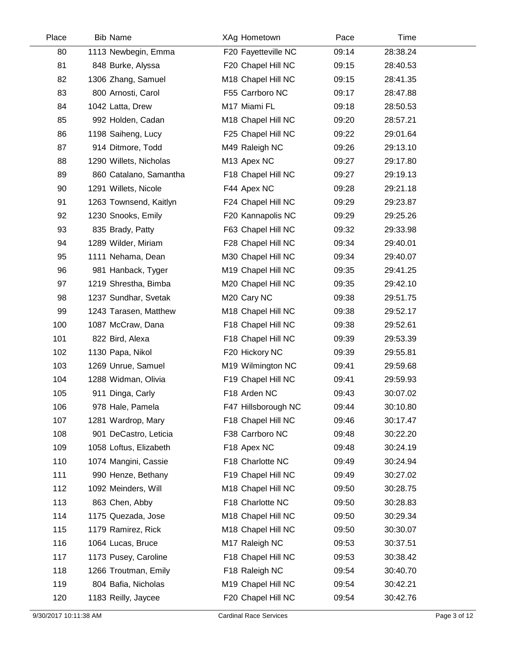| Place | <b>Bib Name</b>        | XAg Hometown        | Pace  | Time     |  |
|-------|------------------------|---------------------|-------|----------|--|
| 80    | 1113 Newbegin, Emma    | F20 Fayetteville NC | 09:14 | 28:38.24 |  |
| 81    | 848 Burke, Alyssa      | F20 Chapel Hill NC  | 09:15 | 28:40.53 |  |
| 82    | 1306 Zhang, Samuel     | M18 Chapel Hill NC  | 09:15 | 28:41.35 |  |
| 83    | 800 Arnosti, Carol     | F55 Carrboro NC     | 09:17 | 28:47.88 |  |
| 84    | 1042 Latta, Drew       | M17 Miami FL        | 09:18 | 28:50.53 |  |
| 85    | 992 Holden, Cadan      | M18 Chapel Hill NC  | 09:20 | 28:57.21 |  |
| 86    | 1198 Saiheng, Lucy     | F25 Chapel Hill NC  | 09:22 | 29:01.64 |  |
| 87    | 914 Ditmore, Todd      | M49 Raleigh NC      | 09:26 | 29:13.10 |  |
| 88    | 1290 Willets, Nicholas | M13 Apex NC         | 09:27 | 29:17.80 |  |
| 89    | 860 Catalano, Samantha | F18 Chapel Hill NC  | 09:27 | 29:19.13 |  |
| 90    | 1291 Willets, Nicole   | F44 Apex NC         | 09:28 | 29:21.18 |  |
| 91    | 1263 Townsend, Kaitlyn | F24 Chapel Hill NC  | 09:29 | 29:23.87 |  |
| 92    | 1230 Snooks, Emily     | F20 Kannapolis NC   | 09:29 | 29:25.26 |  |
| 93    | 835 Brady, Patty       | F63 Chapel Hill NC  | 09:32 | 29:33.98 |  |
| 94    | 1289 Wilder, Miriam    | F28 Chapel Hill NC  | 09:34 | 29:40.01 |  |
| 95    | 1111 Nehama, Dean      | M30 Chapel Hill NC  | 09:34 | 29:40.07 |  |
| 96    | 981 Hanback, Tyger     | M19 Chapel Hill NC  | 09:35 | 29:41.25 |  |
| 97    | 1219 Shrestha, Bimba   | M20 Chapel Hill NC  | 09:35 | 29:42.10 |  |
| 98    | 1237 Sundhar, Svetak   | M20 Cary NC         | 09:38 | 29:51.75 |  |
| 99    | 1243 Tarasen, Matthew  | M18 Chapel Hill NC  | 09:38 | 29:52.17 |  |
| 100   | 1087 McCraw, Dana      | F18 Chapel Hill NC  | 09:38 | 29:52.61 |  |
| 101   | 822 Bird, Alexa        | F18 Chapel Hill NC  | 09:39 | 29:53.39 |  |
| 102   | 1130 Papa, Nikol       | F20 Hickory NC      | 09:39 | 29:55.81 |  |
| 103   | 1269 Unrue, Samuel     | M19 Wilmington NC   | 09:41 | 29:59.68 |  |
| 104   | 1288 Widman, Olivia    | F19 Chapel Hill NC  | 09:41 | 29:59.93 |  |
| 105   | 911 Dinga, Carly       | F18 Arden NC        | 09:43 | 30:07.02 |  |
| 106   | 978 Hale, Pamela       | F47 Hillsborough NC | 09:44 | 30:10.80 |  |
| 107   | 1281 Wardrop, Mary     | F18 Chapel Hill NC  | 09:46 | 30:17.47 |  |
| 108   | 901 DeCastro, Leticia  | F38 Carrboro NC     | 09:48 | 30:22.20 |  |
| 109   | 1058 Loftus, Elizabeth | F18 Apex NC         | 09:48 | 30:24.19 |  |
| 110   | 1074 Mangini, Cassie   | F18 Charlotte NC    | 09:49 | 30:24.94 |  |
| 111   | 990 Henze, Bethany     | F19 Chapel Hill NC  | 09:49 | 30:27.02 |  |
| 112   | 1092 Meinders, Will    | M18 Chapel Hill NC  | 09:50 | 30:28.75 |  |
| 113   | 863 Chen, Abby         | F18 Charlotte NC    | 09:50 | 30:28.83 |  |
| 114   | 1175 Quezada, Jose     | M18 Chapel Hill NC  | 09:50 | 30:29.34 |  |
| 115   | 1179 Ramirez, Rick     | M18 Chapel Hill NC  | 09:50 | 30:30.07 |  |
| 116   | 1064 Lucas, Bruce      | M17 Raleigh NC      | 09:53 | 30:37.51 |  |
| 117   | 1173 Pusey, Caroline   | F18 Chapel Hill NC  | 09:53 | 30:38.42 |  |
| 118   | 1266 Troutman, Emily   | F18 Raleigh NC      | 09:54 | 30:40.70 |  |
| 119   | 804 Bafia, Nicholas    | M19 Chapel Hill NC  | 09:54 | 30:42.21 |  |
| 120   | 1183 Reilly, Jaycee    | F20 Chapel Hill NC  | 09:54 | 30:42.76 |  |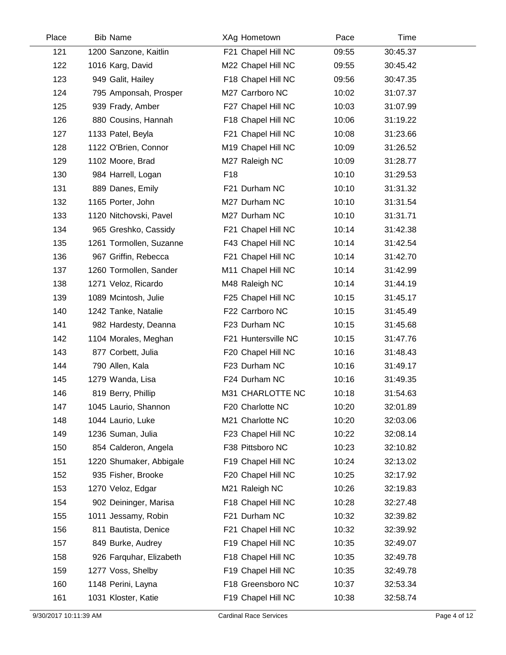| Place | <b>Bib Name</b>         | XAg Hometown        | Pace  | Time     |  |
|-------|-------------------------|---------------------|-------|----------|--|
| 121   | 1200 Sanzone, Kaitlin   | F21 Chapel Hill NC  | 09:55 | 30:45.37 |  |
| 122   | 1016 Karg, David        | M22 Chapel Hill NC  | 09:55 | 30:45.42 |  |
| 123   | 949 Galit, Hailey       | F18 Chapel Hill NC  | 09:56 | 30:47.35 |  |
| 124   | 795 Amponsah, Prosper   | M27 Carrboro NC     | 10:02 | 31:07.37 |  |
| 125   | 939 Frady, Amber        | F27 Chapel Hill NC  | 10:03 | 31:07.99 |  |
| 126   | 880 Cousins, Hannah     | F18 Chapel Hill NC  | 10:06 | 31:19.22 |  |
| 127   | 1133 Patel, Beyla       | F21 Chapel Hill NC  | 10:08 | 31:23.66 |  |
| 128   | 1122 O'Brien, Connor    | M19 Chapel Hill NC  | 10:09 | 31:26.52 |  |
| 129   | 1102 Moore, Brad        | M27 Raleigh NC      | 10:09 | 31:28.77 |  |
| 130   | 984 Harrell, Logan      | F18                 | 10:10 | 31:29.53 |  |
| 131   | 889 Danes, Emily        | F21 Durham NC       | 10:10 | 31:31.32 |  |
| 132   | 1165 Porter, John       | M27 Durham NC       | 10:10 | 31:31.54 |  |
| 133   | 1120 Nitchovski, Pavel  | M27 Durham NC       | 10:10 | 31:31.71 |  |
| 134   | 965 Greshko, Cassidy    | F21 Chapel Hill NC  | 10:14 | 31:42.38 |  |
| 135   | 1261 Tormollen, Suzanne | F43 Chapel Hill NC  | 10:14 | 31:42.54 |  |
| 136   | 967 Griffin, Rebecca    | F21 Chapel Hill NC  | 10:14 | 31:42.70 |  |
| 137   | 1260 Tormollen, Sander  | M11 Chapel Hill NC  | 10:14 | 31:42.99 |  |
| 138   | 1271 Veloz, Ricardo     | M48 Raleigh NC      | 10:14 | 31:44.19 |  |
| 139   | 1089 Mcintosh, Julie    | F25 Chapel Hill NC  | 10:15 | 31:45.17 |  |
| 140   | 1242 Tanke, Natalie     | F22 Carrboro NC     | 10:15 | 31:45.49 |  |
| 141   | 982 Hardesty, Deanna    | F23 Durham NC       | 10:15 | 31:45.68 |  |
| 142   | 1104 Morales, Meghan    | F21 Huntersville NC | 10:15 | 31:47.76 |  |
| 143   | 877 Corbett, Julia      | F20 Chapel Hill NC  | 10:16 | 31:48.43 |  |
| 144   | 790 Allen, Kala         | F23 Durham NC       | 10:16 | 31:49.17 |  |
| 145   | 1279 Wanda, Lisa        | F24 Durham NC       | 10:16 | 31:49.35 |  |
| 146   | 819 Berry, Phillip      | M31 CHARLOTTE NC    | 10:18 | 31:54.63 |  |
| 147   | 1045 Laurio, Shannon    | F20 Charlotte NC    | 10:20 | 32:01.89 |  |
| 148   | 1044 Laurio, Luke       | M21 Charlotte NC    | 10:20 | 32:03.06 |  |
| 149   | 1236 Suman, Julia       | F23 Chapel Hill NC  | 10:22 | 32:08.14 |  |
| 150   | 854 Calderon, Angela    | F38 Pittsboro NC    | 10:23 | 32:10.82 |  |
| 151   | 1220 Shumaker, Abbigale | F19 Chapel Hill NC  | 10:24 | 32:13.02 |  |
| 152   | 935 Fisher, Brooke      | F20 Chapel Hill NC  | 10:25 | 32:17.92 |  |
| 153   | 1270 Veloz, Edgar       | M21 Raleigh NC      | 10:26 | 32:19.83 |  |
| 154   | 902 Deininger, Marisa   | F18 Chapel Hill NC  | 10:28 | 32:27.48 |  |
| 155   | 1011 Jessamy, Robin     | F21 Durham NC       | 10:32 | 32:39.82 |  |
| 156   | 811 Bautista, Denice    | F21 Chapel Hill NC  | 10:32 | 32:39.92 |  |
| 157   | 849 Burke, Audrey       | F19 Chapel Hill NC  | 10:35 | 32:49.07 |  |
| 158   | 926 Farquhar, Elizabeth | F18 Chapel Hill NC  | 10:35 | 32:49.78 |  |
| 159   | 1277 Voss, Shelby       | F19 Chapel Hill NC  | 10:35 | 32:49.78 |  |
| 160   | 1148 Perini, Layna      | F18 Greensboro NC   | 10:37 | 32:53.34 |  |
| 161   | 1031 Kloster, Katie     | F19 Chapel Hill NC  | 10:38 | 32:58.74 |  |
|       |                         |                     |       |          |  |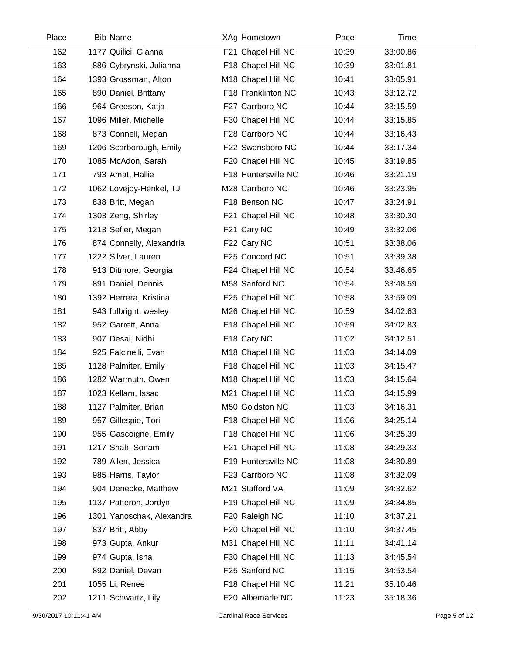| Place | <b>Bib Name</b>           | XAg Hometown        | Pace  | Time     |  |
|-------|---------------------------|---------------------|-------|----------|--|
| 162   | 1177 Quilici, Gianna      | F21 Chapel Hill NC  | 10:39 | 33:00.86 |  |
| 163   | 886 Cybrynski, Julianna   | F18 Chapel Hill NC  | 10:39 | 33:01.81 |  |
| 164   | 1393 Grossman, Alton      | M18 Chapel Hill NC  | 10:41 | 33:05.91 |  |
| 165   | 890 Daniel, Brittany      | F18 Franklinton NC  | 10:43 | 33:12.72 |  |
| 166   | 964 Greeson, Katja        | F27 Carrboro NC     | 10:44 | 33:15.59 |  |
| 167   | 1096 Miller, Michelle     | F30 Chapel Hill NC  | 10:44 | 33:15.85 |  |
| 168   | 873 Connell, Megan        | F28 Carrboro NC     | 10:44 | 33:16.43 |  |
| 169   | 1206 Scarborough, Emily   | F22 Swansboro NC    | 10:44 | 33:17.34 |  |
| 170   | 1085 McAdon, Sarah        | F20 Chapel Hill NC  | 10:45 | 33:19.85 |  |
| 171   | 793 Amat, Hallie          | F18 Huntersville NC | 10:46 | 33:21.19 |  |
| 172   | 1062 Lovejoy-Henkel, TJ   | M28 Carrboro NC     | 10:46 | 33:23.95 |  |
| 173   | 838 Britt, Megan          | F18 Benson NC       | 10:47 | 33:24.91 |  |
| 174   | 1303 Zeng, Shirley        | F21 Chapel Hill NC  | 10:48 | 33:30.30 |  |
| 175   | 1213 Sefler, Megan        | F21 Cary NC         | 10:49 | 33:32.06 |  |
| 176   | 874 Connelly, Alexandria  | F22 Cary NC         | 10:51 | 33:38.06 |  |
| 177   | 1222 Silver, Lauren       | F25 Concord NC      | 10:51 | 33:39.38 |  |
| 178   | 913 Ditmore, Georgia      | F24 Chapel Hill NC  | 10:54 | 33:46.65 |  |
| 179   | 891 Daniel, Dennis        | M58 Sanford NC      | 10:54 | 33:48.59 |  |
| 180   | 1392 Herrera, Kristina    | F25 Chapel Hill NC  | 10:58 | 33:59.09 |  |
| 181   | 943 fulbright, wesley     | M26 Chapel Hill NC  | 10:59 | 34:02.63 |  |
| 182   | 952 Garrett, Anna         | F18 Chapel Hill NC  | 10:59 | 34:02.83 |  |
| 183   | 907 Desai, Nidhi          | F18 Cary NC         | 11:02 | 34:12.51 |  |
| 184   | 925 Falcinelli, Evan      | M18 Chapel Hill NC  | 11:03 | 34:14.09 |  |
| 185   | 1128 Palmiter, Emily      | F18 Chapel Hill NC  | 11:03 | 34:15.47 |  |
| 186   | 1282 Warmuth, Owen        | M18 Chapel Hill NC  | 11:03 | 34:15.64 |  |
| 187   | 1023 Kellam, Issac        | M21 Chapel Hill NC  | 11:03 | 34:15.99 |  |
| 188   | 1127 Palmiter, Brian      | M50 Goldston NC     | 11:03 | 34:16.31 |  |
| 189   | 957 Gillespie, Tori       | F18 Chapel Hill NC  | 11:06 | 34:25.14 |  |
| 190   | 955 Gascoigne, Emily      | F18 Chapel Hill NC  | 11:06 | 34:25.39 |  |
| 191   | 1217 Shah, Sonam          | F21 Chapel Hill NC  | 11:08 | 34:29.33 |  |
| 192   | 789 Allen, Jessica        | F19 Huntersville NC | 11:08 | 34:30.89 |  |
| 193   | 985 Harris, Taylor        | F23 Carrboro NC     | 11:08 | 34:32.09 |  |
| 194   | 904 Denecke, Matthew      | M21 Stafford VA     | 11:09 | 34:32.62 |  |
| 195   | 1137 Patteron, Jordyn     | F19 Chapel Hill NC  | 11:09 | 34:34.85 |  |
| 196   | 1301 Yanoschak, Alexandra | F20 Raleigh NC      | 11:10 | 34:37.21 |  |
| 197   | 837 Britt, Abby           | F20 Chapel Hill NC  | 11:10 | 34:37.45 |  |
| 198   | 973 Gupta, Ankur          | M31 Chapel Hill NC  | 11:11 | 34:41.14 |  |
| 199   | 974 Gupta, Isha           | F30 Chapel Hill NC  | 11:13 | 34:45.54 |  |
| 200   | 892 Daniel, Devan         | F25 Sanford NC      | 11:15 | 34:53.54 |  |
| 201   | 1055 Li, Renee            | F18 Chapel Hill NC  | 11:21 | 35:10.46 |  |
| 202   | 1211 Schwartz, Lily       | F20 Albemarle NC    | 11:23 | 35:18.36 |  |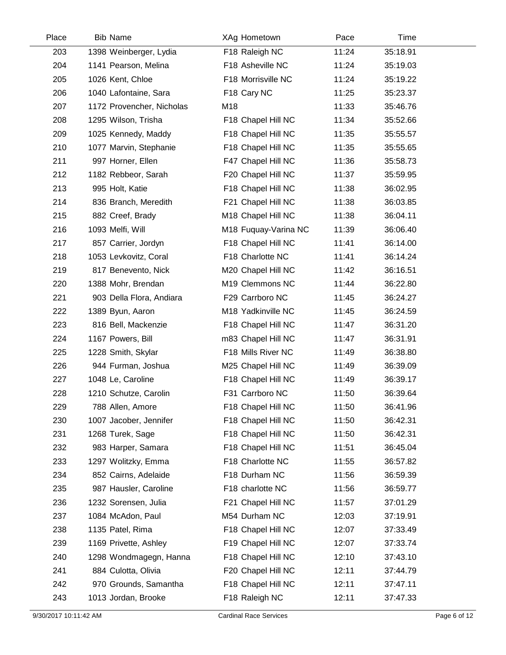| Place | <b>Bib Name</b>           | XAg Hometown         | Pace  | Time     |  |
|-------|---------------------------|----------------------|-------|----------|--|
| 203   | 1398 Weinberger, Lydia    | F18 Raleigh NC       | 11:24 | 35:18.91 |  |
| 204   | 1141 Pearson, Melina      | F18 Asheville NC     | 11:24 | 35:19.03 |  |
| 205   | 1026 Kent, Chloe          | F18 Morrisville NC   | 11:24 | 35:19.22 |  |
| 206   | 1040 Lafontaine, Sara     | F18 Cary NC          | 11:25 | 35:23.37 |  |
| 207   | 1172 Provencher, Nicholas | M18                  | 11:33 | 35:46.76 |  |
| 208   | 1295 Wilson, Trisha       | F18 Chapel Hill NC   | 11:34 | 35:52.66 |  |
| 209   | 1025 Kennedy, Maddy       | F18 Chapel Hill NC   | 11:35 | 35:55.57 |  |
| 210   | 1077 Marvin, Stephanie    | F18 Chapel Hill NC   | 11:35 | 35:55.65 |  |
| 211   | 997 Horner, Ellen         | F47 Chapel Hill NC   | 11:36 | 35:58.73 |  |
| 212   | 1182 Rebbeor, Sarah       | F20 Chapel Hill NC   | 11:37 | 35:59.95 |  |
| 213   | 995 Holt, Katie           | F18 Chapel Hill NC   | 11:38 | 36:02.95 |  |
| 214   | 836 Branch, Meredith      | F21 Chapel Hill NC   | 11:38 | 36:03.85 |  |
| 215   | 882 Creef, Brady          | M18 Chapel Hill NC   | 11:38 | 36:04.11 |  |
| 216   | 1093 Melfi, Will          | M18 Fuquay-Varina NC | 11:39 | 36:06.40 |  |
| 217   | 857 Carrier, Jordyn       | F18 Chapel Hill NC   | 11:41 | 36:14.00 |  |
| 218   | 1053 Levkovitz, Coral     | F18 Charlotte NC     | 11:41 | 36:14.24 |  |
| 219   | 817 Benevento, Nick       | M20 Chapel Hill NC   | 11:42 | 36:16.51 |  |
| 220   | 1388 Mohr, Brendan        | M19 Clemmons NC      | 11:44 | 36:22.80 |  |
| 221   | 903 Della Flora, Andiara  | F29 Carrboro NC      | 11:45 | 36:24.27 |  |
| 222   | 1389 Byun, Aaron          | M18 Yadkinville NC   | 11:45 | 36:24.59 |  |
| 223   | 816 Bell, Mackenzie       | F18 Chapel Hill NC   | 11:47 | 36:31.20 |  |
| 224   | 1167 Powers, Bill         | m83 Chapel Hill NC   | 11:47 | 36:31.91 |  |
| 225   | 1228 Smith, Skylar        | F18 Mills River NC   | 11:49 | 36:38.80 |  |
| 226   | 944 Furman, Joshua        | M25 Chapel Hill NC   | 11:49 | 36:39.09 |  |
| 227   | 1048 Le, Caroline         | F18 Chapel Hill NC   | 11:49 | 36:39.17 |  |
| 228   | 1210 Schutze, Carolin     | F31 Carrboro NC      | 11:50 | 36:39.64 |  |
| 229   | 788 Allen, Amore          | F18 Chapel Hill NC   | 11:50 | 36:41.96 |  |
| 230   | 1007 Jacober, Jennifer    | F18 Chapel Hill NC   | 11:50 | 36:42.31 |  |
| 231   | 1268 Turek, Sage          | F18 Chapel Hill NC   | 11:50 | 36:42.31 |  |
| 232   | 983 Harper, Samara        | F18 Chapel Hill NC   | 11:51 | 36:45.04 |  |
| 233   | 1297 Wolitzky, Emma       | F18 Charlotte NC     | 11:55 | 36:57.82 |  |
| 234   | 852 Cairns, Adelaide      | F18 Durham NC        | 11:56 | 36:59.39 |  |
| 235   | 987 Hausler, Caroline     | F18 charlotte NC     | 11:56 | 36:59.77 |  |
| 236   | 1232 Sorensen, Julia      | F21 Chapel Hill NC   | 11:57 | 37:01.29 |  |
| 237   | 1084 McAdon, Paul         | M54 Durham NC        | 12:03 | 37:19.91 |  |
| 238   | 1135 Patel, Rima          | F18 Chapel Hill NC   | 12:07 | 37:33.49 |  |
| 239   | 1169 Privette, Ashley     | F19 Chapel Hill NC   | 12:07 | 37:33.74 |  |
| 240   | 1298 Wondmagegn, Hanna    | F18 Chapel Hill NC   | 12:10 | 37:43.10 |  |
| 241   | 884 Culotta, Olivia       | F20 Chapel Hill NC   | 12:11 | 37:44.79 |  |
| 242   | 970 Grounds, Samantha     | F18 Chapel Hill NC   | 12:11 | 37:47.11 |  |
| 243   | 1013 Jordan, Brooke       | F18 Raleigh NC       | 12:11 | 37:47.33 |  |
|       |                           |                      |       |          |  |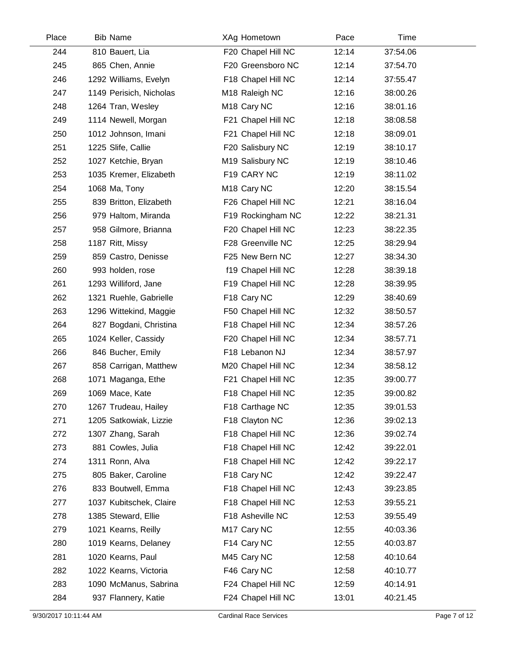| Place | <b>Bib Name</b>         | XAg Hometown            | Pace  | Time     |  |
|-------|-------------------------|-------------------------|-------|----------|--|
| 244   | 810 Bauert, Lia         | F20 Chapel Hill NC      | 12:14 | 37:54.06 |  |
| 245   | 865 Chen, Annie         | F20 Greensboro NC       | 12:14 | 37:54.70 |  |
| 246   | 1292 Williams, Evelyn   | F18 Chapel Hill NC      | 12:14 | 37:55.47 |  |
| 247   | 1149 Perisich, Nicholas | M18 Raleigh NC          | 12:16 | 38:00.26 |  |
| 248   | 1264 Tran, Wesley       | M <sub>18</sub> Cary NC | 12:16 | 38:01.16 |  |
| 249   | 1114 Newell, Morgan     | F21 Chapel Hill NC      | 12:18 | 38:08.58 |  |
| 250   | 1012 Johnson, Imani     | F21 Chapel Hill NC      | 12:18 | 38:09.01 |  |
| 251   | 1225 Slife, Callie      | F20 Salisbury NC        | 12:19 | 38:10.17 |  |
| 252   | 1027 Ketchie, Bryan     | M19 Salisbury NC        | 12:19 | 38:10.46 |  |
| 253   | 1035 Kremer, Elizabeth  | F19 CARY NC             | 12:19 | 38:11.02 |  |
| 254   | 1068 Ma, Tony           | M <sub>18</sub> Cary NC | 12:20 | 38:15.54 |  |
| 255   | 839 Britton, Elizabeth  | F26 Chapel Hill NC      | 12:21 | 38:16.04 |  |
| 256   | 979 Haltom, Miranda     | F19 Rockingham NC       | 12:22 | 38:21.31 |  |
| 257   | 958 Gilmore, Brianna    | F20 Chapel Hill NC      | 12:23 | 38:22.35 |  |
| 258   | 1187 Ritt, Missy        | F28 Greenville NC       | 12:25 | 38:29.94 |  |
| 259   | 859 Castro, Denisse     | F25 New Bern NC         | 12:27 | 38:34.30 |  |
| 260   | 993 holden, rose        | f19 Chapel Hill NC      | 12:28 | 38:39.18 |  |
| 261   | 1293 Williford, Jane    | F19 Chapel Hill NC      | 12:28 | 38:39.95 |  |
| 262   | 1321 Ruehle, Gabrielle  | F18 Cary NC             | 12:29 | 38:40.69 |  |
| 263   | 1296 Wittekind, Maggie  | F50 Chapel Hill NC      | 12:32 | 38:50.57 |  |
| 264   | 827 Bogdani, Christina  | F18 Chapel Hill NC      | 12:34 | 38:57.26 |  |
| 265   | 1024 Keller, Cassidy    | F20 Chapel Hill NC      | 12:34 | 38:57.71 |  |
| 266   | 846 Bucher, Emily       | F18 Lebanon NJ          | 12:34 | 38:57.97 |  |
| 267   | 858 Carrigan, Matthew   | M20 Chapel Hill NC      | 12:34 | 38:58.12 |  |
| 268   | 1071 Maganga, Ethe      | F21 Chapel Hill NC      | 12:35 | 39:00.77 |  |
| 269   | 1069 Mace, Kate         | F18 Chapel Hill NC      | 12:35 | 39:00.82 |  |
| 270   | 1267 Trudeau, Hailey    | F18 Carthage NC         | 12:35 | 39:01.53 |  |
| 271   | 1205 Satkowiak, Lizzie  | F18 Clayton NC          | 12:36 | 39:02.13 |  |
| 272   | 1307 Zhang, Sarah       | F18 Chapel Hill NC      | 12:36 | 39:02.74 |  |
| 273   | 881 Cowles, Julia       | F18 Chapel Hill NC      | 12:42 | 39:22.01 |  |
| 274   | 1311 Ronn, Alva         | F18 Chapel Hill NC      | 12:42 | 39:22.17 |  |
| 275   | 805 Baker, Caroline     | F18 Cary NC             | 12:42 | 39:22.47 |  |
| 276   | 833 Boutwell, Emma      | F18 Chapel Hill NC      | 12:43 | 39:23.85 |  |
| 277   | 1037 Kubitschek, Claire | F18 Chapel Hill NC      | 12:53 | 39:55.21 |  |
| 278   | 1385 Steward, Ellie     | F18 Asheville NC        | 12:53 | 39:55.49 |  |
| 279   | 1021 Kearns, Reilly     | M17 Cary NC             | 12:55 | 40:03.36 |  |
| 280   | 1019 Kearns, Delaney    | F14 Cary NC             | 12:55 | 40:03.87 |  |
| 281   | 1020 Kearns, Paul       | M45 Cary NC             | 12:58 | 40:10.64 |  |
| 282   | 1022 Kearns, Victoria   | F46 Cary NC             | 12:58 | 40:10.77 |  |
| 283   | 1090 McManus, Sabrina   | F24 Chapel Hill NC      | 12:59 | 40:14.91 |  |
| 284   | 937 Flannery, Katie     | F24 Chapel Hill NC      | 13:01 | 40:21.45 |  |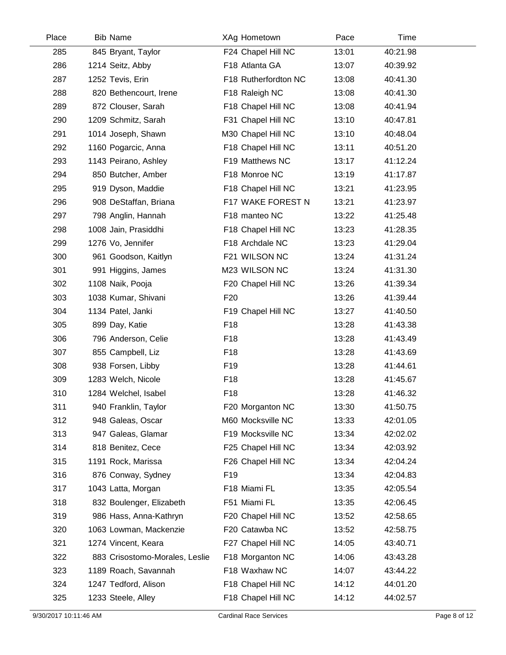| Place | <b>Bib Name</b>                | XAg Hometown         | Pace  | Time     |  |
|-------|--------------------------------|----------------------|-------|----------|--|
| 285   | 845 Bryant, Taylor             | F24 Chapel Hill NC   | 13:01 | 40:21.98 |  |
| 286   | 1214 Seitz, Abby               | F18 Atlanta GA       | 13:07 | 40:39.92 |  |
| 287   | 1252 Tevis, Erin               | F18 Rutherfordton NC | 13:08 | 40:41.30 |  |
| 288   | 820 Bethencourt, Irene         | F18 Raleigh NC       | 13:08 | 40:41.30 |  |
| 289   | 872 Clouser, Sarah             | F18 Chapel Hill NC   | 13:08 | 40:41.94 |  |
| 290   | 1209 Schmitz, Sarah            | F31 Chapel Hill NC   | 13:10 | 40:47.81 |  |
| 291   | 1014 Joseph, Shawn             | M30 Chapel Hill NC   | 13:10 | 40:48.04 |  |
| 292   | 1160 Pogarcic, Anna            | F18 Chapel Hill NC   | 13:11 | 40:51.20 |  |
| 293   | 1143 Peirano, Ashley           | F19 Matthews NC      | 13:17 | 41:12.24 |  |
| 294   | 850 Butcher, Amber             | F18 Monroe NC        | 13:19 | 41:17.87 |  |
| 295   | 919 Dyson, Maddie              | F18 Chapel Hill NC   | 13:21 | 41:23.95 |  |
| 296   | 908 DeStaffan, Briana          | F17 WAKE FOREST N    | 13:21 | 41:23.97 |  |
| 297   | 798 Anglin, Hannah             | F18 manteo NC        | 13:22 | 41:25.48 |  |
| 298   | 1008 Jain, Prasiddhi           | F18 Chapel Hill NC   | 13:23 | 41:28.35 |  |
| 299   | 1276 Vo, Jennifer              | F18 Archdale NC      | 13:23 | 41:29.04 |  |
| 300   | 961 Goodson, Kaitlyn           | F21 WILSON NC        | 13:24 | 41:31.24 |  |
| 301   | 991 Higgins, James             | M23 WILSON NC        | 13:24 | 41:31.30 |  |
| 302   | 1108 Naik, Pooja               | F20 Chapel Hill NC   | 13:26 | 41:39.34 |  |
| 303   | 1038 Kumar, Shivani            | F <sub>20</sub>      | 13:26 | 41:39.44 |  |
| 304   | 1134 Patel, Janki              | F19 Chapel Hill NC   | 13:27 | 41:40.50 |  |
| 305   | 899 Day, Katie                 | F18                  | 13:28 | 41:43.38 |  |
| 306   | 796 Anderson, Celie            | F18                  | 13:28 | 41:43.49 |  |
| 307   | 855 Campbell, Liz              | F18                  | 13:28 | 41:43.69 |  |
| 308   | 938 Forsen, Libby              | F <sub>19</sub>      | 13:28 | 41:44.61 |  |
| 309   | 1283 Welch, Nicole             | F18                  | 13:28 | 41:45.67 |  |
| 310   | 1284 Welchel, Isabel           | F18                  | 13:28 | 41:46.32 |  |
| 311   | 940 Franklin, Taylor           | F20 Morganton NC     | 13:30 | 41:50.75 |  |
| 312   | 948 Galeas, Oscar              | M60 Mocksville NC    | 13:33 | 42:01.05 |  |
| 313   | 947 Galeas, Glamar             | F19 Mocksville NC    | 13:34 | 42:02.02 |  |
| 314   | 818 Benitez, Cece              | F25 Chapel Hill NC   | 13:34 | 42:03.92 |  |
| 315   | 1191 Rock, Marissa             | F26 Chapel Hill NC   | 13:34 | 42:04.24 |  |
| 316   | 876 Conway, Sydney             | F <sub>19</sub>      | 13:34 | 42:04.83 |  |
| 317   | 1043 Latta, Morgan             | F18 Miami FL         | 13:35 | 42:05.54 |  |
| 318   | 832 Boulenger, Elizabeth       | F51 Miami FL         | 13:35 | 42:06.45 |  |
| 319   | 986 Hass, Anna-Kathryn         | F20 Chapel Hill NC   | 13:52 | 42:58.65 |  |
| 320   | 1063 Lowman, Mackenzie         | F20 Catawba NC       | 13:52 | 42:58.75 |  |
| 321   | 1274 Vincent, Keara            | F27 Chapel Hill NC   | 14:05 | 43:40.71 |  |
| 322   | 883 Crisostomo-Morales, Leslie | F18 Morganton NC     | 14:06 | 43:43.28 |  |
| 323   | 1189 Roach, Savannah           | F18 Waxhaw NC        | 14:07 | 43:44.22 |  |
| 324   | 1247 Tedford, Alison           | F18 Chapel Hill NC   | 14:12 | 44:01.20 |  |
| 325   | 1233 Steele, Alley             | F18 Chapel Hill NC   | 14:12 | 44:02.57 |  |
|       |                                |                      |       |          |  |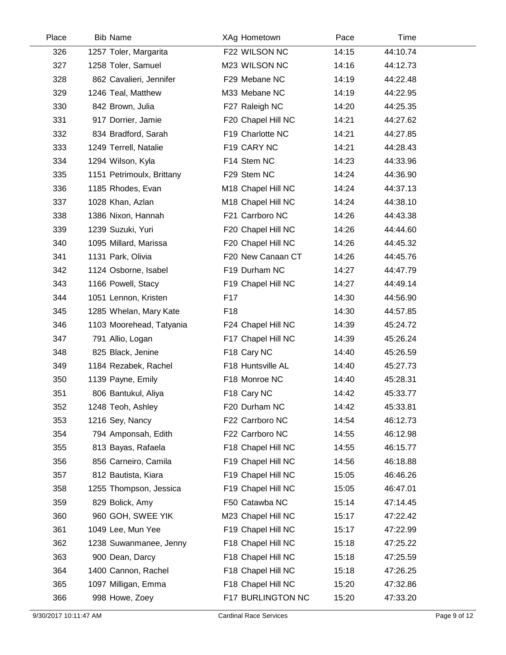| Place | <b>Bib Name</b>           | XAg Hometown       | Pace  | Time     |  |
|-------|---------------------------|--------------------|-------|----------|--|
| 326   | 1257 Toler, Margarita     | F22 WILSON NC      | 14:15 | 44:10.74 |  |
| 327   | 1258 Toler, Samuel        | M23 WILSON NC      | 14:16 | 44:12.73 |  |
| 328   | 862 Cavalieri, Jennifer   | F29 Mebane NC      | 14:19 | 44:22.48 |  |
| 329   | 1246 Teal, Matthew        | M33 Mebane NC      | 14:19 | 44:22.95 |  |
| 330   | 842 Brown, Julia          | F27 Raleigh NC     | 14:20 | 44:25.35 |  |
| 331   | 917 Dorrier, Jamie        | F20 Chapel Hill NC | 14:21 | 44:27.62 |  |
| 332   | 834 Bradford, Sarah       | F19 Charlotte NC   | 14:21 | 44:27.85 |  |
| 333   | 1249 Terrell, Natalie     | F19 CARY NC        | 14:21 | 44:28.43 |  |
| 334   | 1294 Wilson, Kyla         | F14 Stem NC        | 14:23 | 44:33.96 |  |
| 335   | 1151 Petrimoulx, Brittany | F29 Stem NC        | 14:24 | 44:36.90 |  |
| 336   | 1185 Rhodes, Evan         | M18 Chapel Hill NC | 14:24 | 44:37.13 |  |
| 337   | 1028 Khan, Azlan          | M18 Chapel Hill NC | 14:24 | 44:38.10 |  |
| 338   | 1386 Nixon, Hannah        | F21 Carrboro NC    | 14:26 | 44:43.38 |  |
| 339   | 1239 Suzuki, Yuri         | F20 Chapel Hill NC | 14:26 | 44:44.60 |  |
| 340   | 1095 Millard, Marissa     | F20 Chapel Hill NC | 14:26 | 44:45.32 |  |
| 341   | 1131 Park, Olivia         | F20 New Canaan CT  | 14:26 | 44:45.76 |  |
| 342   | 1124 Osborne, Isabel      | F19 Durham NC      | 14:27 | 44:47.79 |  |
| 343   | 1166 Powell, Stacy        | F19 Chapel Hill NC | 14:27 | 44:49.14 |  |
| 344   | 1051 Lennon, Kristen      | F <sub>17</sub>    | 14:30 | 44:56.90 |  |
| 345   | 1285 Whelan, Mary Kate    | F <sub>18</sub>    | 14:30 | 44:57.85 |  |
| 346   | 1103 Moorehead, Tatyania  | F24 Chapel Hill NC | 14:39 | 45:24.72 |  |
| 347   | 791 Allio, Logan          | F17 Chapel Hill NC | 14:39 | 45:26.24 |  |
| 348   | 825 Black, Jenine         | F18 Cary NC        | 14:40 | 45:26.59 |  |
| 349   | 1184 Rezabek, Rachel      | F18 Huntsville AL  | 14:40 | 45:27.73 |  |
| 350   | 1139 Payne, Emily         | F18 Monroe NC      | 14:40 | 45:28.31 |  |
| 351   | 806 Bantukul, Aliya       | F18 Cary NC        | 14:42 | 45:33.77 |  |
| 352   | 1248 Teoh, Ashley         | F20 Durham NC      | 14:42 | 45:33.81 |  |
| 353   | 1216 Sey, Nancy           | F22 Carrboro NC    | 14:54 | 46:12.73 |  |
| 354   | 794 Amponsah, Edith       | F22 Carrboro NC    | 14:55 | 46:12.98 |  |
| 355   | 813 Bayas, Rafaela        | F18 Chapel Hill NC | 14:55 | 46:15.77 |  |
| 356   | 856 Carneiro, Camila      | F19 Chapel Hill NC | 14:56 | 46:18.88 |  |
| 357   | 812 Bautista, Kiara       | F19 Chapel Hill NC | 15:05 | 46:46.26 |  |
| 358   | 1255 Thompson, Jessica    | F19 Chapel Hill NC | 15:05 | 46:47.01 |  |
| 359   | 829 Bolick, Amy           | F50 Catawba NC     | 15:14 | 47:14.45 |  |
| 360   | 960 GOH, SWEE YIK         | M23 Chapel Hill NC | 15:17 | 47:22.42 |  |
| 361   | 1049 Lee, Mun Yee         | F19 Chapel Hill NC | 15:17 | 47:22.99 |  |
| 362   | 1238 Suwanmanee, Jenny    | F18 Chapel Hill NC | 15:18 | 47:25.22 |  |
| 363   | 900 Dean, Darcy           | F18 Chapel Hill NC | 15:18 | 47:25.59 |  |
| 364   | 1400 Cannon, Rachel       | F18 Chapel Hill NC | 15:18 | 47:26.25 |  |
| 365   | 1097 Milligan, Emma       | F18 Chapel Hill NC | 15:20 | 47:32.86 |  |
| 366   | 998 Howe, Zoey            | F17 BURLINGTON NC  | 15:20 | 47:33.20 |  |
|       |                           |                    |       |          |  |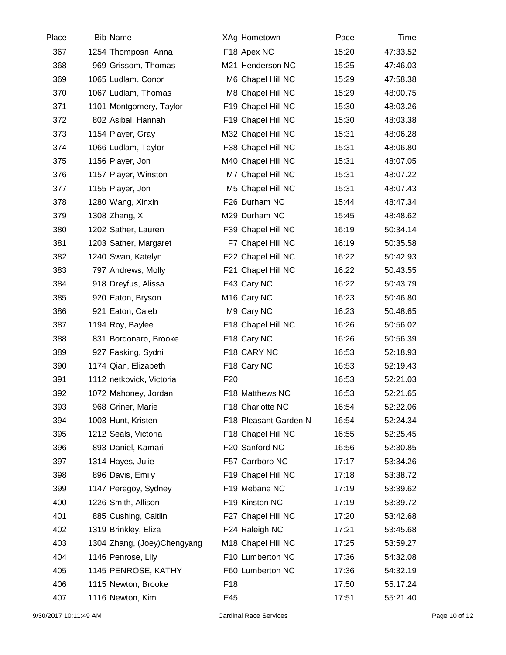| Place | <b>Bib Name</b>             | XAg Hometown            | Pace  | Time     |  |
|-------|-----------------------------|-------------------------|-------|----------|--|
| 367   | 1254 Thomposn, Anna         | F18 Apex NC             | 15:20 | 47:33.52 |  |
| 368   | 969 Grissom, Thomas         | M21 Henderson NC        | 15:25 | 47:46.03 |  |
| 369   | 1065 Ludlam, Conor          | M6 Chapel Hill NC       | 15:29 | 47:58.38 |  |
| 370   | 1067 Ludlam, Thomas         | M8 Chapel Hill NC       | 15:29 | 48:00.75 |  |
| 371   | 1101 Montgomery, Taylor     | F19 Chapel Hill NC      | 15:30 | 48:03.26 |  |
| 372   | 802 Asibal, Hannah          | F19 Chapel Hill NC      | 15:30 | 48:03.38 |  |
| 373   | 1154 Player, Gray           | M32 Chapel Hill NC      | 15:31 | 48:06.28 |  |
| 374   | 1066 Ludlam, Taylor         | F38 Chapel Hill NC      | 15:31 | 48:06.80 |  |
| 375   | 1156 Player, Jon            | M40 Chapel Hill NC      | 15:31 | 48:07.05 |  |
| 376   | 1157 Player, Winston        | M7 Chapel Hill NC       | 15:31 | 48:07.22 |  |
| 377   | 1155 Player, Jon            | M5 Chapel Hill NC       | 15:31 | 48:07.43 |  |
| 378   | 1280 Wang, Xinxin           | F26 Durham NC           | 15:44 | 48:47.34 |  |
| 379   | 1308 Zhang, Xi              | M29 Durham NC           | 15:45 | 48:48.62 |  |
| 380   | 1202 Sather, Lauren         | F39 Chapel Hill NC      | 16:19 | 50:34.14 |  |
| 381   | 1203 Sather, Margaret       | F7 Chapel Hill NC       | 16:19 | 50:35.58 |  |
| 382   | 1240 Swan, Katelyn          | F22 Chapel Hill NC      | 16:22 | 50:42.93 |  |
| 383   | 797 Andrews, Molly          | F21 Chapel Hill NC      | 16:22 | 50:43.55 |  |
| 384   | 918 Dreyfus, Alissa         | F43 Cary NC             | 16:22 | 50:43.79 |  |
| 385   | 920 Eaton, Bryson           | M <sub>16</sub> Cary NC | 16:23 | 50:46.80 |  |
| 386   | 921 Eaton, Caleb            | M9 Cary NC              | 16:23 | 50:48.65 |  |
| 387   | 1194 Roy, Baylee            | F18 Chapel Hill NC      | 16:26 | 50:56.02 |  |
| 388   | 831 Bordonaro, Brooke       | F18 Cary NC             | 16:26 | 50:56.39 |  |
| 389   | 927 Fasking, Sydni          | F18 CARY NC             | 16:53 | 52:18.93 |  |
| 390   | 1174 Qian, Elizabeth        | F18 Cary NC             | 16:53 | 52:19.43 |  |
| 391   | 1112 netkovick, Victoria    | F <sub>20</sub>         | 16:53 | 52:21.03 |  |
| 392   | 1072 Mahoney, Jordan        | F18 Matthews NC         | 16:53 | 52:21.65 |  |
| 393   | 968 Griner, Marie           | F18 Charlotte NC        | 16:54 | 52:22.06 |  |
| 394   | 1003 Hunt, Kristen          | F18 Pleasant Garden N   | 16:54 | 52:24.34 |  |
| 395   | 1212 Seals, Victoria        | F18 Chapel Hill NC      | 16:55 | 52:25.45 |  |
| 396   | 893 Daniel, Kamari          | F20 Sanford NC          | 16:56 | 52:30.85 |  |
| 397   | 1314 Hayes, Julie           | F57 Carrboro NC         | 17:17 | 53:34.26 |  |
| 398   | 896 Davis, Emily            | F19 Chapel Hill NC      | 17:18 | 53:38.72 |  |
| 399   | 1147 Peregoy, Sydney        | F19 Mebane NC           | 17:19 | 53:39.62 |  |
| 400   | 1226 Smith, Allison         | F19 Kinston NC          | 17:19 | 53:39.72 |  |
| 401   | 885 Cushing, Caitlin        | F27 Chapel Hill NC      | 17:20 | 53:42.68 |  |
| 402   | 1319 Brinkley, Eliza        | F24 Raleigh NC          | 17:21 | 53:45.68 |  |
| 403   | 1304 Zhang, (Joey)Chengyang | M18 Chapel Hill NC      | 17:25 | 53:59.27 |  |
| 404   | 1146 Penrose, Lily          | F10 Lumberton NC        | 17:36 | 54:32.08 |  |
| 405   | 1145 PENROSE, KATHY         | F60 Lumberton NC        | 17:36 | 54:32.19 |  |
| 406   | 1115 Newton, Brooke         | F <sub>18</sub>         | 17:50 | 55:17.24 |  |
| 407   | 1116 Newton, Kim            | F45                     | 17:51 | 55:21.40 |  |
|       |                             |                         |       |          |  |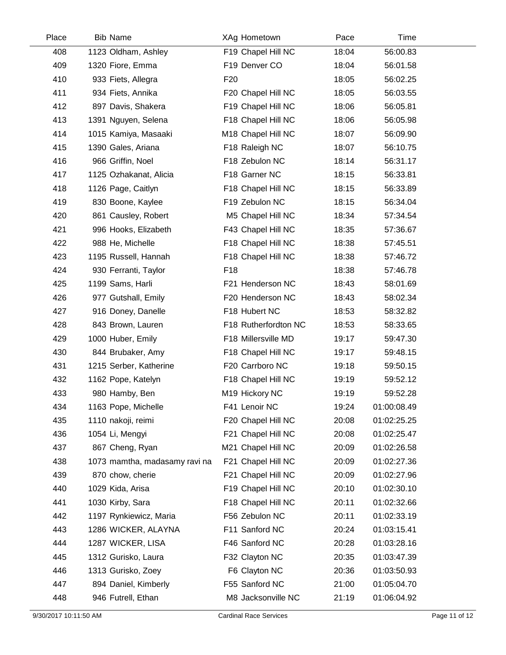| Place | <b>Bib Name</b>               | XAg Hometown         | Pace  | Time        |  |
|-------|-------------------------------|----------------------|-------|-------------|--|
| 408   | 1123 Oldham, Ashley           | F19 Chapel Hill NC   | 18:04 | 56:00.83    |  |
| 409   | 1320 Fiore, Emma              | F19 Denver CO        | 18:04 | 56:01.58    |  |
| 410   | 933 Fiets, Allegra            | F <sub>20</sub>      | 18:05 | 56:02.25    |  |
| 411   | 934 Fiets, Annika             | F20 Chapel Hill NC   | 18:05 | 56:03.55    |  |
| 412   | 897 Davis, Shakera            | F19 Chapel Hill NC   | 18:06 | 56:05.81    |  |
| 413   | 1391 Nguyen, Selena           | F18 Chapel Hill NC   | 18:06 | 56:05.98    |  |
| 414   | 1015 Kamiya, Masaaki          | M18 Chapel Hill NC   | 18:07 | 56:09.90    |  |
| 415   | 1390 Gales, Ariana            | F18 Raleigh NC       | 18:07 | 56:10.75    |  |
| 416   | 966 Griffin, Noel             | F18 Zebulon NC       | 18:14 | 56:31.17    |  |
| 417   | 1125 Ozhakanat, Alicia        | F18 Garner NC        | 18:15 | 56:33.81    |  |
| 418   | 1126 Page, Caitlyn            | F18 Chapel Hill NC   | 18:15 | 56:33.89    |  |
| 419   | 830 Boone, Kaylee             | F19 Zebulon NC       | 18:15 | 56:34.04    |  |
| 420   | 861 Causley, Robert           | M5 Chapel Hill NC    | 18:34 | 57:34.54    |  |
| 421   | 996 Hooks, Elizabeth          | F43 Chapel Hill NC   | 18:35 | 57:36.67    |  |
| 422   | 988 He, Michelle              | F18 Chapel Hill NC   | 18:38 | 57:45.51    |  |
| 423   | 1195 Russell, Hannah          | F18 Chapel Hill NC   | 18:38 | 57:46.72    |  |
| 424   | 930 Ferranti, Taylor          | F <sub>18</sub>      | 18:38 | 57:46.78    |  |
| 425   | 1199 Sams, Harli              | F21 Henderson NC     | 18:43 | 58:01.69    |  |
| 426   | 977 Gutshall, Emily           | F20 Henderson NC     | 18:43 | 58:02.34    |  |
| 427   | 916 Doney, Danelle            | F18 Hubert NC        | 18:53 | 58:32.82    |  |
| 428   | 843 Brown, Lauren             | F18 Rutherfordton NC | 18:53 | 58:33.65    |  |
| 429   | 1000 Huber, Emily             | F18 Millersville MD  | 19:17 | 59:47.30    |  |
| 430   | 844 Brubaker, Amy             | F18 Chapel Hill NC   | 19:17 | 59:48.15    |  |
| 431   | 1215 Serber, Katherine        | F20 Carrboro NC      | 19:18 | 59:50.15    |  |
| 432   | 1162 Pope, Katelyn            | F18 Chapel Hill NC   | 19:19 | 59:52.12    |  |
| 433   | 980 Hamby, Ben                | M19 Hickory NC       | 19:19 | 59:52.28    |  |
| 434   | 1163 Pope, Michelle           | F41 Lenoir NC        | 19:24 | 01:00:08.49 |  |
| 435   | 1110 nakoji, reimi            | F20 Chapel Hill NC   | 20:08 | 01:02:25.25 |  |
| 436   | 1054 Li, Mengyi               | F21 Chapel Hill NC   | 20:08 | 01:02:25.47 |  |
| 437   | 867 Cheng, Ryan               | M21 Chapel Hill NC   | 20:09 | 01:02:26.58 |  |
| 438   | 1073 mamtha, madasamy ravi na | F21 Chapel Hill NC   | 20:09 | 01:02:27.36 |  |
| 439   | 870 chow, cherie              | F21 Chapel Hill NC   | 20:09 | 01:02:27.96 |  |
| 440   | 1029 Kida, Arisa              | F19 Chapel Hill NC   | 20:10 | 01:02:30.10 |  |
| 441   | 1030 Kirby, Sara              | F18 Chapel Hill NC   | 20:11 | 01:02:32.66 |  |
| 442   | 1197 Rynkiewicz, Maria        | F56 Zebulon NC       | 20:11 | 01:02:33.19 |  |
| 443   | 1286 WICKER, ALAYNA           | F11 Sanford NC       | 20:24 | 01:03:15.41 |  |
| 444   | 1287 WICKER, LISA             | F46 Sanford NC       | 20:28 | 01:03:28.16 |  |
| 445   | 1312 Gurisko, Laura           | F32 Clayton NC       | 20:35 | 01:03:47.39 |  |
| 446   | 1313 Gurisko, Zoey            | F6 Clayton NC        | 20:36 | 01:03:50.93 |  |
| 447   | 894 Daniel, Kimberly          | F55 Sanford NC       | 21:00 | 01:05:04.70 |  |
| 448   | 946 Futrell, Ethan            | M8 Jacksonville NC   | 21:19 | 01:06:04.92 |  |
|       |                               |                      |       |             |  |